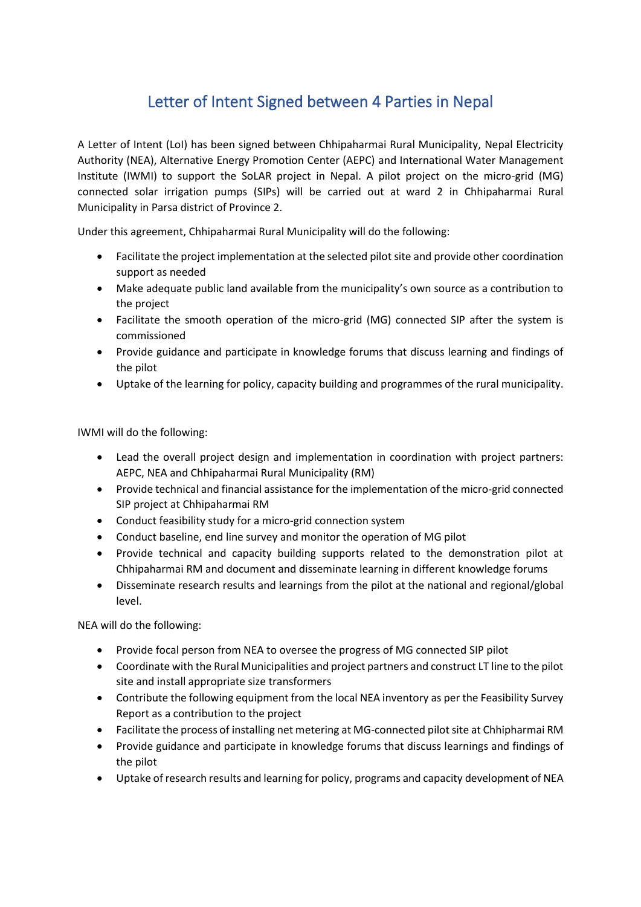## Letter of Intent Signed between 4 Parties in Nepal

A Letter of Intent (LoI) has been signed between Chhipaharmai Rural Municipality, Nepal Electricity Authority (NEA), Alternative Energy Promotion Center (AEPC) and International Water Management Institute (IWMI) to support the SoLAR project in Nepal. A pilot project on the micro-grid (MG) connected solar irrigation pumps (SIPs) will be carried out at ward 2 in Chhipaharmai Rural Municipality in Parsa district of Province 2.

Under this agreement, Chhipaharmai Rural Municipality will do the following:

- Facilitate the project implementation at the selected pilot site and provide other coordination support as needed
- Make adequate public land available from the municipality's own source as a contribution to the project
- Facilitate the smooth operation of the micro-grid (MG) connected SIP after the system is commissioned
- Provide guidance and participate in knowledge forums that discuss learning and findings of the pilot
- Uptake of the learning for policy, capacity building and programmes of the rural municipality.

IWMI will do the following:

- Lead the overall project design and implementation in coordination with project partners: AEPC, NEA and Chhipaharmai Rural Municipality (RM)
- Provide technical and financial assistance for the implementation of the micro-grid connected SIP project at Chhipaharmai RM
- Conduct feasibility study for a micro-grid connection system
- Conduct baseline, end line survey and monitor the operation of MG pilot
- Provide technical and capacity building supports related to the demonstration pilot at Chhipaharmai RM and document and disseminate learning in different knowledge forums
- Disseminate research results and learnings from the pilot at the national and regional/global level.

NEA will do the following:

- Provide focal person from NEA to oversee the progress of MG connected SIP pilot
- Coordinate with the Rural Municipalities and project partners and construct LT line to the pilot site and install appropriate size transformers
- Contribute the following equipment from the local NEA inventory as per the Feasibility Survey Report as a contribution to the project
- Facilitate the process of installing net metering at MG-connected pilot site at Chhipharmai RM
- Provide guidance and participate in knowledge forums that discuss learnings and findings of the pilot
- Uptake of research results and learning for policy, programs and capacity development of NEA